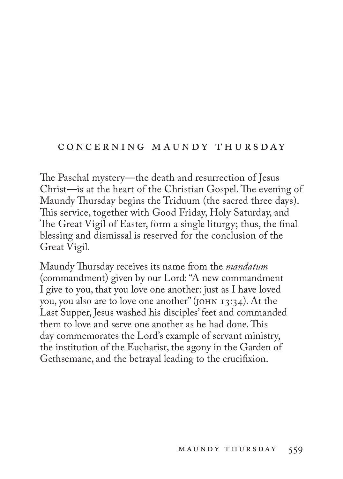## CONCERNING MAUNDY THURSDAY

The Paschal mystery—the death and resurrection of Jesus Christ—is at the heart of the Christian Gospel. The evening of Maundy Thursday begins the Triduum (the sacred three days). This service, together with Good Friday, Holy Saturday, and The Great Vigil of Easter, form a single liturgy; thus, the final blessing and dismissal is reserved for the conclusion of the Great Vigil.

Maundy Thursday receives its name from the *mandatum* (commandment) given by our Lord: "A new commandment I give to you, that you love one another: just as I have loved you, you also are to love one another" (john 13:34). At the Last Supper, Jesus washed his disciples' feet and commanded them to love and serve one another as he had done. This day commemorates the Lord's example of servant ministry, the institution of the Eucharist, the agony in the Garden of Gethsemane, and the betrayal leading to the crucifixion.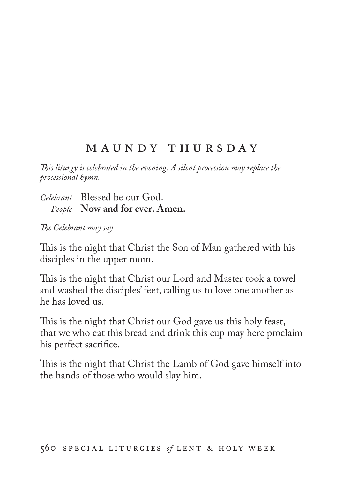# M A U N D Y T H U R S D A Y

*This liturgy is celebrated in the evening. A silent procession may replace the processional hymn.* 

*Celebrant* Blessed be our God. *People* **Now and for ever. Amen.**

*The Celebrant may say*

This is the night that Christ the Son of Man gathered with his disciples in the upper room.

This is the night that Christ our Lord and Master took a towel and washed the disciples' feet, calling us to love one another as he has loved us.

This is the night that Christ our God gave us this holy feast, that we who eat this bread and drink this cup may here proclaim his perfect sacrifice.

This is the night that Christ the Lamb of God gave himself into the hands of those who would slay him.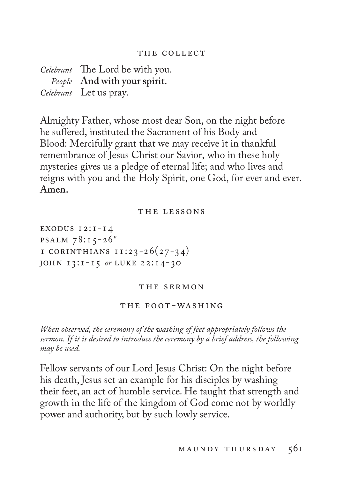#### THE COLLECT

*Celebrant* The Lord be with you. *People* **And with your spirit.** *Celebrant* Let us pray.

Almighty Father, whose most dear Son, on the night before he suffered, instituted the Sacrament of his Body and Blood: Mercifully grant that we may receive it in thankful remembrance of Jesus Christ our Savior, who in these holy mysteries gives us a pledge of eternal life; and who lives and reigns with you and the Holy Spirit, one God, for ever and ever. **Amen.**

#### THE LESSONS

exodus 12:1-14 **PSALM**  $78:15-26$ <sup>v</sup> I CORINTHIANS  $11:23-26(27-34)$ john 13:1-15 *or* luke 22:14-30

#### THE SERMON

#### the foot-washing

*When observed, the ceremony of the washing of feet appropriately follows the sermon. If it is desired to introduce the ceremony by a brief address, the following may be used.*

Fellow servants of our Lord Jesus Christ: On the night before his death, Jesus set an example for his disciples by washing their feet, an act of humble service. He taught that strength and growth in the life of the kingdom of God come not by worldly power and authority, but by such lowly service.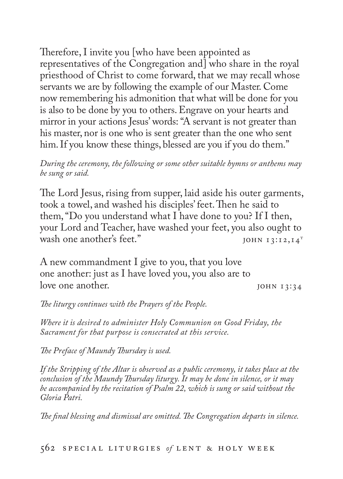Therefore, I invite you [who have been appointed as representatives of the Congregation and] who share in the royal priesthood of Christ to come forward, that we may recall whose servants we are by following the example of our Master. Come now remembering his admonition that what will be done for you is also to be done by you to others. Engrave on your hearts and mirror in your actions Jesus' words: "A servant is not greater than his master, nor is one who is sent greater than the one who sent him. If you know these things, blessed are you if you do them."

*During the ceremony, the following or some other suitable hymns or anthems may be sung or said.*

The Lord Jesus, rising from supper, laid aside his outer garments, took a towel, and washed his disciples' feet. Then he said to them, "Do you understand what I have done to you? If I then, your Lord and Teacher, have washed your feet, you also ought to wash one another's feet."  $_{\text{JOHN I3:12,14}^T}$ 

A new commandment I give to you, that you love one another: just as I have loved you, you also are to love one another. *john* 13:34

*The liturgy continues with the Prayers of the People.*

*Where it is desired to administer Holy Communion on Good Friday, the Sacrament for that purpose is consecrated at this service.*

*The Preface of Maundy Thursday is used.*

*If the Stripping of the Altar is observed as a public ceremony, it takes place at the conclusion of the Maundy Thursday liturgy. It may be done in silence, or it may be accompanied by the recitation of Psalm 22, which is sung or said without the Gloria Patri.*

*The final blessing and dismissal are omitted. The Congregation departs in silence.*